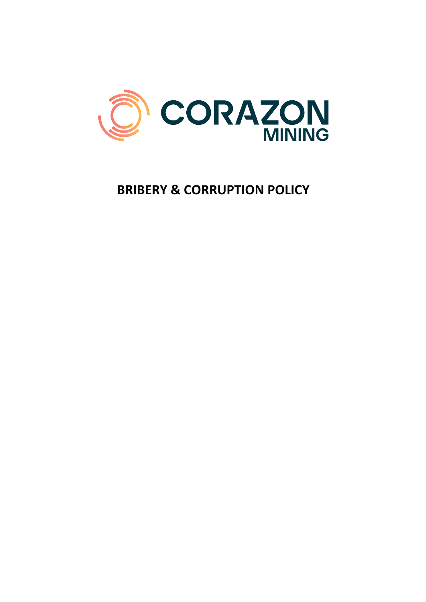

# **BRIBERY & CORRUPTION POLICY**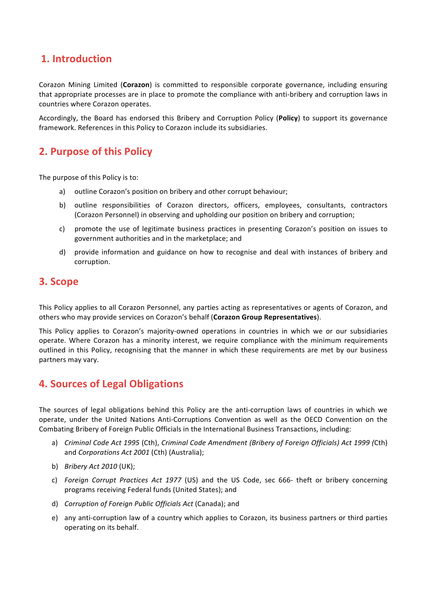# **1. Introduction**

Corazon Mining Limited (Corazon) is committed to responsible corporate governance, including ensuring that appropriate processes are in place to promote the compliance with anti-bribery and corruption laws in countries where Corazon operates.

Accordingly, the Board has endorsed this Bribery and Corruption Policy (Policy) to support its governance framework. References in this Policy to Corazon include its subsidiaries.

## **2. Purpose of this Policy**

The purpose of this Policy is to:

- a) outline Corazon's position on bribery and other corrupt behaviour;
- b) outline responsibilities of Corazon directors, officers, employees, consultants, contractors (Corazon Personnel) in observing and upholding our position on bribery and corruption;
- c) promote the use of legitimate business practices in presenting Corazon's position on issues to government authorities and in the marketplace; and
- d) provide information and guidance on how to recognise and deal with instances of bribery and corruption.

#### **3. Scope**

This Policy applies to all Corazon Personnel, any parties acting as representatives or agents of Corazon, and others who may provide services on Corazon's behalf (Corazon Group Representatives).

This Policy applies to Corazon's majority-owned operations in countries in which we or our subsidiaries operate. Where Corazon has a minority interest, we require compliance with the minimum requirements outlined in this Policy, recognising that the manner in which these requirements are met by our business partners may vary.

### **4. Sources of Legal Obligations**

The sources of legal obligations behind this Policy are the anti-corruption laws of countries in which we operate, under the United Nations Anti-Corruptions Convention as well as the OECD Convention on the Combating Bribery of Foreign Public Officials in the International Business Transactions, including:

- a) *Criminal Code Act 1995* (Cth), *Criminal Code Amendment (Bribery of Foreign Officials) Act 1999 (Cth)* and *Corporations Act 2001* (Cth) (Australia);
- b) *Bribery Act 2010* (UK);
- c) *Foreign Corrupt Practices Act 1977* (US) and the US Code, sec 666- theft or bribery concerning programs receiving Federal funds (United States); and
- d) *Corruption of Foreign Public Officials Act* (Canada); and
- e) any anti-corruption law of a country which applies to Corazon, its business partners or third parties operating on its behalf.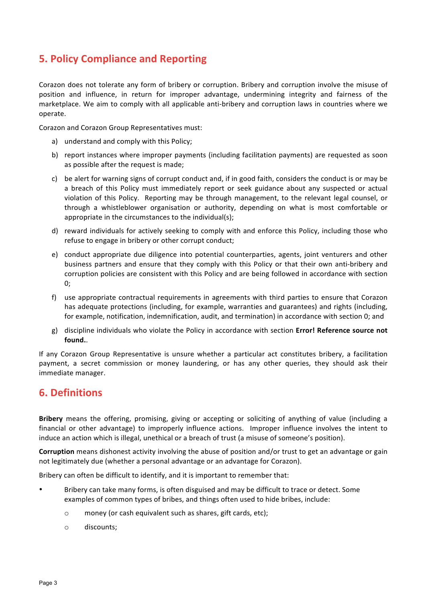# **5. Policy Compliance and Reporting**

Corazon does not tolerate any form of bribery or corruption. Bribery and corruption involve the misuse of position and influence, in return for improper advantage, undermining integrity and fairness of the marketplace. We aim to comply with all applicable anti-bribery and corruption laws in countries where we operate. 

Corazon and Corazon Group Representatives must:

- a) understand and comply with this Policy;
- b) report instances where improper payments (including facilitation payments) are requested as soon as possible after the request is made;
- c) be alert for warning signs of corrupt conduct and, if in good faith, considers the conduct is or may be a breach of this Policy must immediately report or seek guidance about any suspected or actual violation of this Policy. Reporting may be through management, to the relevant legal counsel, or through a whistleblower organisation or authority, depending on what is most comfortable or appropriate in the circumstances to the individual(s);
- d) reward individuals for actively seeking to comply with and enforce this Policy, including those who refuse to engage in bribery or other corrupt conduct;
- e) conduct appropriate due diligence into potential counterparties, agents, joint venturers and other business partners and ensure that they comply with this Policy or that their own anti-bribery and corruption policies are consistent with this Policy and are being followed in accordance with section 0;
- f) use appropriate contractual requirements in agreements with third parties to ensure that Corazon has adequate protections (including, for example, warranties and guarantees) and rights (including, for example, notification, indemnification, audit, and termination) in accordance with section 0; and
- g) discipline individuals who violate the Policy in accordance with section **Error! Reference source not found.**.

If any Corazon Group Representative is unsure whether a particular act constitutes bribery, a facilitation payment, a secret commission or money laundering, or has any other queries, they should ask their immediate manager.

### **6. Definitions**

**Bribery** means the offering, promising, giving or accepting or soliciting of anything of value (including a financial or other advantage) to improperly influence actions. Improper influence involves the intent to induce an action which is illegal, unethical or a breach of trust (a misuse of someone's position).

**Corruption** means dishonest activity involving the abuse of position and/or trust to get an advantage or gain not legitimately due (whether a personal advantage or an advantage for Corazon).

Bribery can often be difficult to identify, and it is important to remember that:

- Bribery can take many forms, is often disguised and may be difficult to trace or detect. Some examples of common types of bribes, and things often used to hide bribes, include:
	- $\circ$  money (or cash equivalent such as shares, gift cards, etc);
	- o discounts;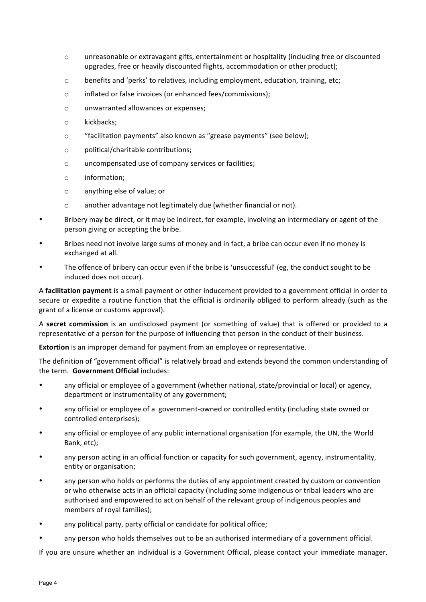- $\circ$  unreasonable or extravagant gifts, entertainment or hospitality (including free or discounted upgrades, free or heavily discounted flights, accommodation or other product);
- $\circ$  benefits and 'perks' to relatives, including employment, education, training, etc;
- o inflated or false invoices (or enhanced fees/commissions);
- o unwarranted allowances or expenses;
- o kickbacks;
- o "facilitation payments" also known as "grease payments" (see below);
- o political/charitable contributions;
- o uncompensated use of company services or facilities;
- o information;
- o anything else of value; or
- $\circ$  another advantage not legitimately due (whether financial or not).
- Bribery may be direct, or it may be indirect, for example, involving an intermediary or agent of the person giving or accepting the bribe.
- Bribes need not involve large sums of money and in fact, a bribe can occur even if no money is exchanged at all.
- The offence of bribery can occur even if the bribe is 'unsuccessful' (eg, the conduct sought to be induced does not occur).

A **facilitation payment** is a small payment or other inducement provided to a government official in order to secure or expedite a routine function that the official is ordinarily obliged to perform already (such as the grant of a license or customs approval).

A **secret commission** is an undisclosed payment (or something of value) that is offered or provided to a representative of a person for the purpose of influencing that person in the conduct of their business.

**Extortion** is an improper demand for payment from an employee or representative.

The definition of "government official" is relatively broad and extends beyond the common understanding of the term. Government Official includes:

- any official or employee of a government (whether national, state/provincial or local) or agency, department or instrumentality of any government;
- any official or employee of a government-owned or controlled entity (including state owned or controlled enterprises);
- any official or employee of any public international organisation (for example, the UN, the World Bank, etc):
- any person acting in an official function or capacity for such government, agency, instrumentality, entity or organisation;
- any person who holds or performs the duties of any appointment created by custom or convention or who otherwise acts in an official capacity (including some indigenous or tribal leaders who are authorised and empowered to act on behalf of the relevant group of indigenous peoples and members of royal families);
- any political party, party official or candidate for political office;
- any person who holds themselves out to be an authorised intermediary of a government official.

If you are unsure whether an individual is a Government Official, please contact your immediate manager.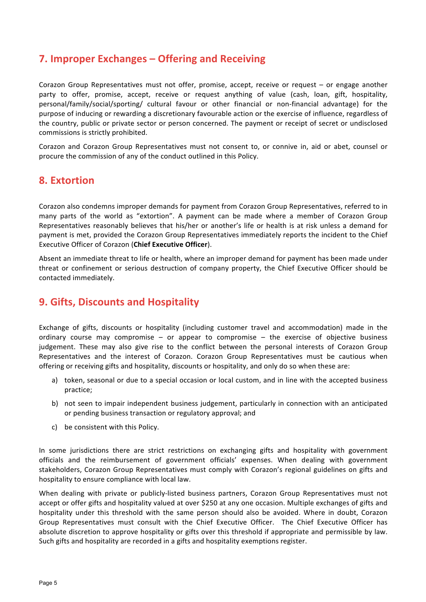# **7. Improper Exchanges – Offering and Receiving**

Corazon Group Representatives must not offer, promise, accept, receive or request  $-$  or engage another party to offer, promise, accept, receive or request anything of value (cash, loan, gift, hospitality, personal/family/social/sporting/ cultural favour or other financial or non-financial advantage) for the purpose of inducing or rewarding a discretionary favourable action or the exercise of influence, regardless of the country, public or private sector or person concerned. The payment or receipt of secret or undisclosed commissions is strictly prohibited.

Corazon and Corazon Group Representatives must not consent to, or connive in, aid or abet, counsel or procure the commission of any of the conduct outlined in this Policy.

#### **8. Extortion**

Corazon also condemns improper demands for payment from Corazon Group Representatives, referred to in many parts of the world as "extortion". A payment can be made where a member of Corazon Group Representatives reasonably believes that his/her or another's life or health is at risk unless a demand for payment is met, provided the Corazon Group Representatives immediately reports the incident to the Chief Executive Officer of Corazon (Chief Executive Officer).

Absent an immediate threat to life or health, where an improper demand for payment has been made under threat or confinement or serious destruction of company property, the Chief Executive Officer should be contacted immediately.

### **9. Gifts, Discounts and Hospitality**

Exchange of gifts, discounts or hospitality (including customer travel and accommodation) made in the ordinary course may compromise  $-$  or appear to compromise  $-$  the exercise of objective business judgement. These may also give rise to the conflict between the personal interests of Corazon Group Representatives and the interest of Corazon. Corazon Group Representatives must be cautious when offering or receiving gifts and hospitality, discounts or hospitality, and only do so when these are:

- a) token, seasonal or due to a special occasion or local custom, and in line with the accepted business practice;
- b) not seen to impair independent business judgement, particularly in connection with an anticipated or pending business transaction or regulatory approval; and
- c) be consistent with this Policy.

In some jurisdictions there are strict restrictions on exchanging gifts and hospitality with government officials and the reimbursement of government officials' expenses. When dealing with government stakeholders, Corazon Group Representatives must comply with Corazon's regional guidelines on gifts and hospitality to ensure compliance with local law.

When dealing with private or publicly-listed business partners, Corazon Group Representatives must not accept or offer gifts and hospitality valued at over \$250 at any one occasion. Multiple exchanges of gifts and hospitality under this threshold with the same person should also be avoided. Where in doubt, Corazon Group Representatives must consult with the Chief Executive Officer. The Chief Executive Officer has absolute discretion to approve hospitality or gifts over this threshold if appropriate and permissible by law. Such gifts and hospitality are recorded in a gifts and hospitality exemptions register.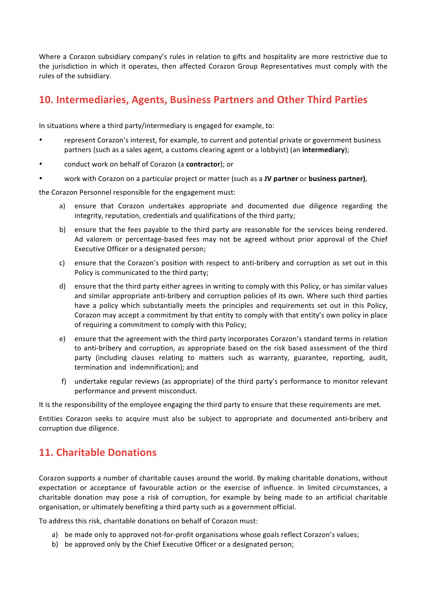Where a Corazon subsidiary company's rules in relation to gifts and hospitality are more restrictive due to the jurisdiction in which it operates, then affected Corazon Group Representatives must comply with the rules of the subsidiary.

# **10.** Intermediaries, Agents, Business Partners and Other Third Parties

In situations where a third party/intermediary is engaged for example, to:

- represent Corazon's interest, for example, to current and potential private or government business partners (such as a sales agent, a customs clearing agent or a lobbyist) (an intermediary);
- conduct work on behalf of Corazon (a **contractor**); or
- work with Corazon on a particular project or matter (such as a JV partner or business partner),

the Corazon Personnel responsible for the engagement must:

- a) ensure that Corazon undertakes appropriate and documented due diligence regarding the integrity, reputation, credentials and qualifications of the third party;
- b) ensure that the fees payable to the third party are reasonable for the services being rendered. Ad valorem or percentage-based fees may not be agreed without prior approval of the Chief Executive Officer or a designated person;
- c) ensure that the Corazon's position with respect to anti-bribery and corruption as set out in this Policy is communicated to the third party;
- d) ensure that the third party either agrees in writing to comply with this Policy, or has similar values and similar appropriate anti-bribery and corruption policies of its own. Where such third parties have a policy which substantially meets the principles and requirements set out in this Policy, Corazon may accept a commitment by that entity to comply with that entity's own policy in place of requiring a commitment to comply with this Policy;
- e) ensure that the agreement with the third party incorporates Corazon's standard terms in relation to anti-bribery and corruption, as appropriate based on the risk based assessment of the third party (including clauses relating to matters such as warranty, guarantee, reporting, audit, termination and indemnification); and
- f) undertake regular reviews (as appropriate) of the third party's performance to monitor relevant performance and prevent misconduct.

It is the responsibility of the employee engaging the third party to ensure that these requirements are met.

Entities Corazon seeks to acquire must also be subject to appropriate and documented anti-bribery and corruption due diligence.

# **11. Charitable Donations**

Corazon supports a number of charitable causes around the world. By making charitable donations, without expectation or acceptance of favourable action or the exercise of influence. In limited circumstances, a charitable donation may pose a risk of corruption, for example by being made to an artificial charitable organisation, or ultimately benefiting a third party such as a government official.

To address this risk, charitable donations on behalf of Corazon must:

- a) be made only to approved not-for-profit organisations whose goals reflect Corazon's values;
- b) be approved only by the Chief Executive Officer or a designated person: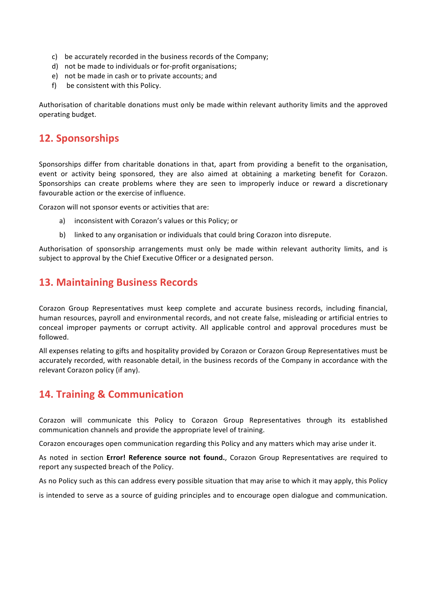- c) be accurately recorded in the business records of the Company;
- d) not be made to individuals or for-profit organisations;
- e) not be made in cash or to private accounts; and
- f) be consistent with this Policy.

Authorisation of charitable donations must only be made within relevant authority limits and the approved operating budget.

### **12. Sponsorships**

Sponsorships differ from charitable donations in that, apart from providing a benefit to the organisation, event or activity being sponsored, they are also aimed at obtaining a marketing benefit for Corazon. Sponsorships can create problems where they are seen to improperly induce or reward a discretionary favourable action or the exercise of influence.

Corazon will not sponsor events or activities that are:

- a) inconsistent with Corazon's values or this Policy; or
- b) linked to any organisation or individuals that could bring Corazon into disrepute.

Authorisation of sponsorship arrangements must only be made within relevant authority limits, and is subject to approval by the Chief Executive Officer or a designated person.

### **13. Maintaining Business Records**

Corazon Group Representatives must keep complete and accurate business records, including financial, human resources, payroll and environmental records, and not create false, misleading or artificial entries to conceal improper payments or corrupt activity. All applicable control and approval procedures must be followed. 

All expenses relating to gifts and hospitality provided by Corazon or Corazon Group Representatives must be accurately recorded, with reasonable detail, in the business records of the Company in accordance with the relevant Corazon policy (if any).

### **14. Training & Communication**

Corazon will communicate this Policy to Corazon Group Representatives through its established communication channels and provide the appropriate level of training.

Corazon encourages open communication regarding this Policy and any matters which may arise under it.

As noted in section Error! Reference source not found., Corazon Group Representatives are required to report any suspected breach of the Policy.

As no Policy such as this can address every possible situation that may arise to which it may apply, this Policy

is intended to serve as a source of guiding principles and to encourage open dialogue and communication.